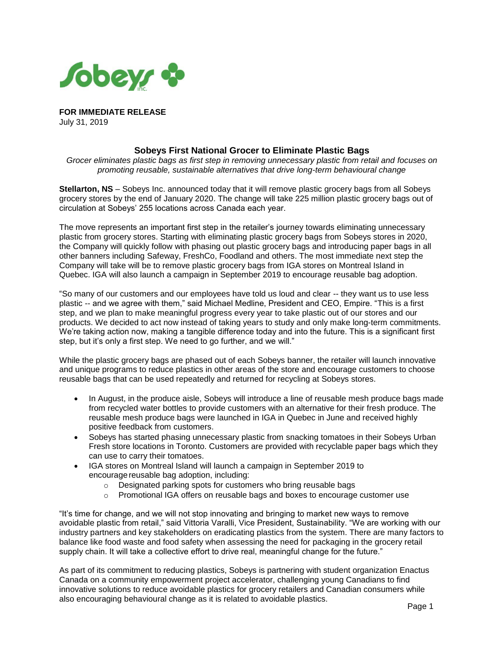

**FOR IMMEDIATE RELEASE** July 31, 2019

## **Sobeys First National Grocer to Eliminate Plastic Bags**

*Grocer eliminates plastic bags as first step in removing unnecessary plastic from retail and focuses on promoting reusable, sustainable alternatives that drive long-term behavioural change*

**Stellarton, NS** – Sobeys Inc. announced today that it will remove plastic grocery bags from all Sobeys grocery stores by the end of January 2020. The change will take 225 million plastic grocery bags out of circulation at Sobeys' 255 locations across Canada each year.

The move represents an important first step in the retailer's journey towards eliminating unnecessary plastic from grocery stores. Starting with eliminating plastic grocery bags from Sobeys stores in 2020, the Company will quickly follow with phasing out plastic grocery bags and introducing paper bags in all other banners including Safeway, FreshCo, Foodland and others. The most immediate next step the Company will take will be to remove plastic grocery bags from IGA stores on Montreal Island in Quebec. IGA will also launch a campaign in September 2019 to encourage reusable bag adoption.

"So many of our customers and our employees have told us loud and clear -- they want us to use less plastic -- and we agree with them," said Michael Medline, President and CEO, Empire. "This is a first step, and we plan to make meaningful progress every year to take plastic out of our stores and our products. We decided to act now instead of taking years to study and only make long-term commitments. We're taking action now, making a tangible difference today and into the future. This is a significant first step, but it's only a first step. We need to go further, and we will."

While the plastic grocery bags are phased out of each Sobeys banner, the retailer will launch innovative and unique programs to reduce plastics in other areas of the store and encourage customers to choose reusable bags that can be used repeatedly and returned for recycling at Sobeys stores.

- In August, in the produce aisle, Sobeys will introduce a line of reusable mesh produce bags made from recycled water bottles to provide customers with an alternative for their fresh produce. The reusable mesh produce bags were launched in IGA in Quebec in June and received highly positive feedback from customers.
- Sobeys has started phasing unnecessary plastic from snacking tomatoes in their Sobeys Urban Fresh store locations in Toronto. Customers are provided with recyclable paper bags which they can use to carry their tomatoes.
- IGA stores on Montreal Island will launch a campaign in September 2019 to encourage reusable bag adoption, including:
	- o Designated parking spots for customers who bring reusable bags
	- o Promotional IGA offers on reusable bags and boxes to encourage customer use

"It's time for change, and we will not stop innovating and bringing to market new ways to remove avoidable plastic from retail," said Vittoria Varalli, Vice President, Sustainability. "We are working with our industry partners and key stakeholders on eradicating plastics from the system. There are many factors to balance like food waste and food safety when assessing the need for packaging in the grocery retail supply chain. It will take a collective effort to drive real, meaningful change for the future."

As part of its commitment to reducing plastics, Sobeys is partnering with student organization Enactus Canada on a community empowerment project accelerator, challenging young Canadians to find innovative solutions to reduce avoidable plastics for grocery retailers and Canadian consumers while also encouraging behavioural change as it is related to avoidable plastics.